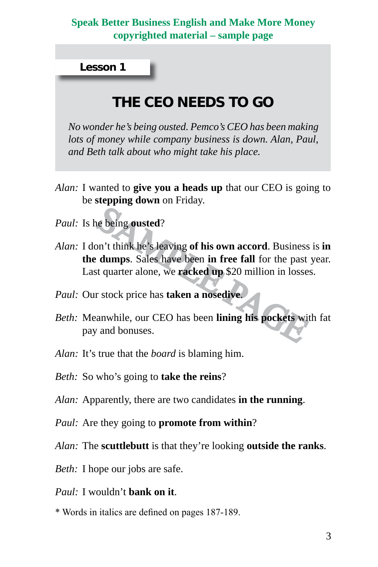#### **Lesson 1**

## **THE CEO NEEDS TO GO**

*No wonder he's being ousted. Pemco's CEO has been making lots of money while company business is down. Alan, Paul, and Beth talk about who might take his place.*

- *Alan:* I wanted to **give you a heads up** that our CEO is going to be **stepping down** on Friday.
- *Paul:* Is he being **ousted**?
- e being ousted?<br>
Shown accord. Business<br>
dumps. Sales have been in free fall for the past<br>
st quarter alone, we racked up \$20 million in losse<br>
r stock price has taken a nosedive.<br>
anwhile, our CEO has been lining his pock *Alan:* I don't think he's leaving **of his own accord**. Business is **in the dumps**. Sales have been **in free fall** for the past year. Last quarter alone, we **racked up** \$20 million in losses.
- *Paul:* Our stock price has **taken a nosedive**.
- *Beth:* Meanwhile, our CEO has been **lining his pockets** with fat pay and bonuses.
- *Alan:* It's true that the *board* is blaming him.
- *Beth:* So who's going to **take the reins**?
- *Alan:* Apparently, there are two candidates **in the running**.
- *Paul:* Are they going to **promote from within**?
- *Alan:* The **scuttlebutt** is that they're looking **outside the ranks**.
- *Beth:* I hope our jobs are safe.
- *Paul:* I wouldn't **bank on it**.
- \* Words in italics are defined on pages 187-189.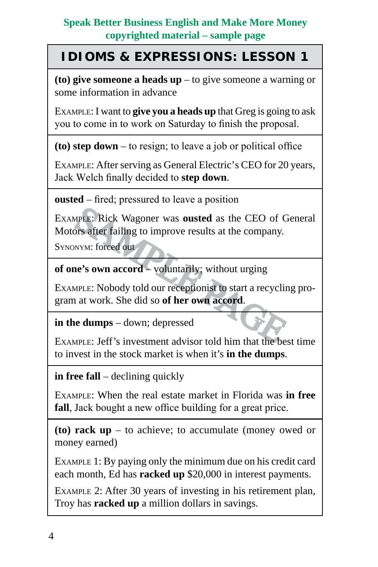# **IDIOMS & EXPRESSIONS: LESSON 1**

**(to) give someone a heads up**  – to give someone a warning or some information in advance

EXAMPLE: I want to **give you a heads up** that Greg is going to ask you to come in to work on Saturday to finish the proposal.

**(to) step down**  – to resign; to leave a job or political office

Exampl E: After serving as General Electric's CEO for 20 years, Jack Welch finally decided to **step down** .

**ousted** – fired; pressured to leave a position

MPLE: Rick Wagoner was **ousted** as the CEO of C<br>
Drs after failing to improve results at the company.<br>
NYM: forced out<br> **ne's own accord** – voluntarily; without urging<br>
MPLE: Nobody told our receptionist to start a recycli ExamplE: Rick Wagoner was **ousted** as the CEO of General Motors after failing to improve results at the company.

Synonym: forced out

**of one's own accord**  – voluntarily; without urging

EXAMPLE: Nobody told our receptionist to start a recycling program at work. She did so **of her own accord** .

**in the dumps** – down; depressed

ExamplE: Jeff's investment advisor told him that the best time to invest in the stock market is when it's **in the dumps** .

**in free fall** – declining quickly

Example: When the real estate market in Florida was **in free fall**, Jack bought a new office building for a great price.

**(to) rack up**  – to achieve; to accumulate (money owed or money earned)

EXAMPLE 1: By paying only the minimum due on his credit card each month, Ed has **racked up** \$20,000 in interest payments.

EXAMPLE 2: After 30 years of investing in his retirement plan, Troy has **racked up** a million dollars in savings.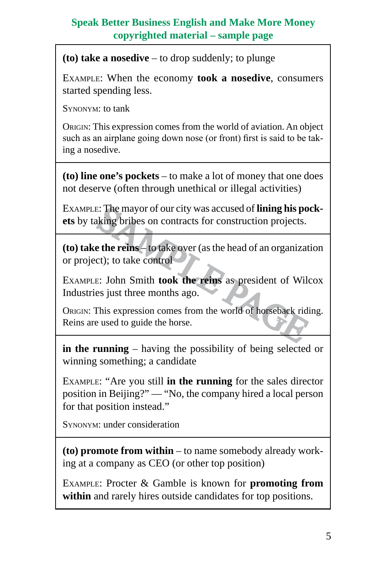**(to) take a nosedive** – to drop suddenly; to plunge

ExamplE: When the economy **took a nosedive**, consumers started spending less.

Synonym: to tank

ORIGIN: This expression comes from the world of aviation. An object such as an airplane going down nose (or front) first is said to be taking a nosedive.

**(to) line one's pockets** – to make a lot of money that one does not deserve (often through unethical or illegal activities)

ExamplE: The mayor of our city was accused of **lining his pock ets** by taking bribes on contracts for construction projects.

**(to) take the reins**  – to take over (as the head of an organization or project); to take control

E: The mayor of our city was accused of **lining his po**<br>king bribes on contracts for construction projects.<br> **E: the reins** – to take over (as the head of an organizat<br>
ct); to take control<br>
E: John Smith **took the reins** ExamplE: John Smith **took the reins** as president of Wilcox Industries just three months ago.

ORIGIN: This expression comes from the world of horseback riding. Reins are used to guide the horse.

**in the running** – having the possibility of being selected or winning something; a candidate

ExamplE: "Are you still **in the running** for the sales director position in Beijing?" — "No, the company hired a local person for that position instead."

Synonym: under consideration

**(to) promote from within**  – to name somebody already work ing at a company as CEO (or other top position)

EXAMPLE: Procter & Gamble is known for **promoting from within** and rarely hires outside candidates for top positions.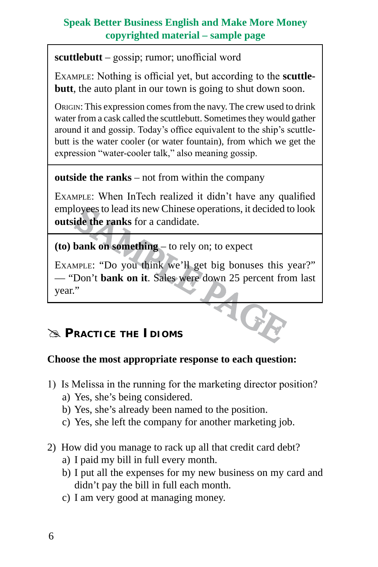**scuttlebutt** – gossip; rumor; unofficial word

EXAMPLE: Nothing is official yet, but according to the **scuttlebutt**, the auto plant in our town is going to shut down soon.

ORIGIN: This expression comes from the navy. The crew used to drink water from a cask called the scuttlebutt. Sometimes they would gather around it and gossip. Today's office equivalent to the ship's scuttlebutt is the water cooler (or water fountain), from which we get the expression "water-cooler talk," also meaning gossip.

**outside the ranks** – not from within the company

EXAMPLE: When InTech realized it didn't have any qualified employees to lead its new Chinese operations, it decided to look **outside the ranks** for a candidate.

**(to) bank on something** – to rely on; to expect

loyees to lead its new Chinese operations, it decided is<br>
ide the ranks for a candidate.<br>
bank on something – to rely on; to expect<br>
MPLE: "Do you think we'll get big bonuses this<br>
Don't bank on it. Sales were down 25 perc EXAMPLE: "Do you think we'll get big bonuses this year?" — "Don't **bank on it**. Sales were down 25 percent from last year."

## **EX PRACTICE THE IDIOMS**

## **Choose the most appropriate response to each question:**

- 1) Is Melissa in the running for the marketing director position?
	- a) Yes, she's being considered.
	- b) Yes, she's already been named to the position.
	- c) Yes, she left the company for another marketing job.
- 2) How did you manage to rack up all that credit card debt?
	- a) I paid my bill in full every month.
	- b) I put all the expenses for my new business on my card and didn't pay the bill in full each month.
	- c) I am very good at managing money.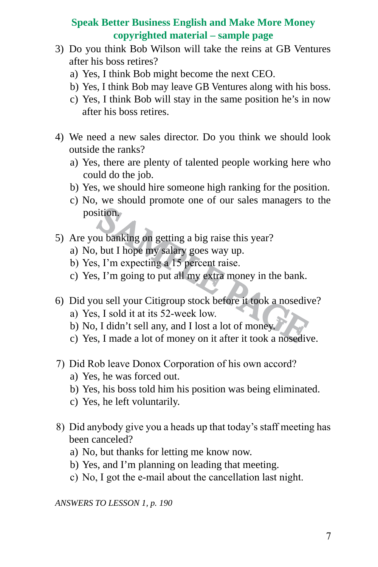- 3) Do you think Bob Wilson will take the reins at GB Ventures after his boss retires?
	- a) Yes, I think Bob might become the next CEO.
	- b) Yes, I think Bob may leave GB Ventures along with his boss.
	- c) Yes, I think Bob will stay in the same position he's in now after his boss retires.
- ) We need a new sales director. Do you think we should look outside the ranks?
	- a) Yes, there are plenty of talented people working here who could do the job.
	- b) Yes, we should hire someone high ranking for the position.
	- c) No, we should promote one of our sales managers to the position.
- ) Are you banking on getting a big raise this year?
	- a) No, but I hope my salary goes way up.
	- b) Yes, I'm expecting a 15 percent raise.
	- c) Yes, I'm going to put all my extra money in the bank.
- Sample in the same of the same of the search with the search with the same shade of the same shade.<br>
Shade parameter is the same shade in the same shade is the same shade.<br>
Shade is the same shade is the same shade is the ) Did you sell your Citigroup stock before it took a nosedive?
	- a) Yes, I sold it at its 52-week low.
	- b) No, I didn't sell any, and I lost a lot of money.
	- c) Yes, I made a lot of money on it after it took a nosedive.
- ) Did Rob leave Donox Corporation of his own accord?
	- a) Yes, he was forced out.
	- b) Yes, his boss told him his position was being eliminated.
	- c) Yes, he left voluntarily.
- 8) Did anybody give you a heads up that today's staff meeting has been canceled?
	- a) No, but thanks for letting me know now.
	- b) Yes, and I'm planning on leading that meeting.
	- c) No, I got the e-mail about the cancellation last night.

*ANSWERS TO LESSON 1, p. 190*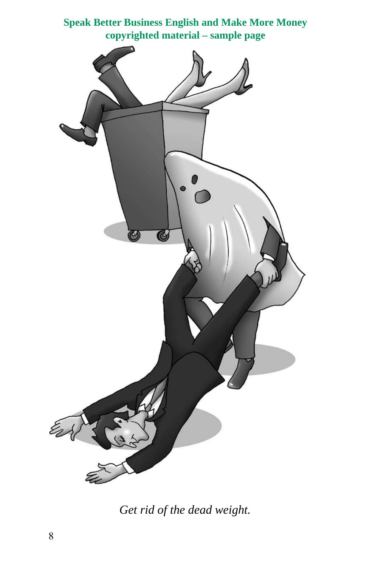

*Get rid of the dead weight.*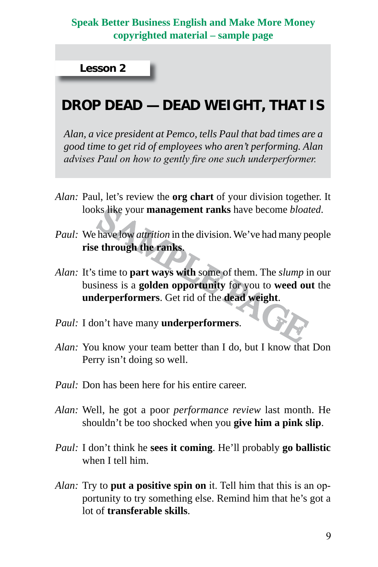**Lesson 2**

# **DROP DEAD — DEAD WEIGHT, THAT IS**

*Alan, a vice president at Pemco, tells Paul that bad times are a good time to get rid of employees who aren't performing. Alan advises Paul on how to gently fire one such underperformer.* 

- *Alan:* Paul, let's review the **org chart** of your division together. It looks like your **management ranks** have become *bloated*.
- *Paul:* We have low *attrition* in the division. We've had many people **rise through the ranks**.
- ks like your **management ranks** have become *bloat*<br>have low *attrition* in the division. We've had many per<br>through the ranks.<br>time to part ways with some of them. The *slump* is<br>iness is a golden opportunity for you to w *Alan:* It's time to **part ways with** some of them. The *slump* in our business is a **golden opportunity** for you to **weed out** the **underperformers**. Get rid of the **dead weight**.
- *Paul:* I don't have many **underperformers**.
- *Alan:* You know your team better than I do, but I know that Don Perry isn't doing so well.
- *Paul:* Don has been here for his entire career.
- *Alan:* Well, he got a poor *performance review* last month. He shouldn't be too shocked when you **give him a pink slip**.
- *Paul:* I don't think he **sees it coming**. He'll probably **go ballistic** when I tell him.
- *Alan:* Try to **put a positive spin on** it. Tell him that this is an opportunity to try something else. Remind him that he's got a lot of **transferable skills**.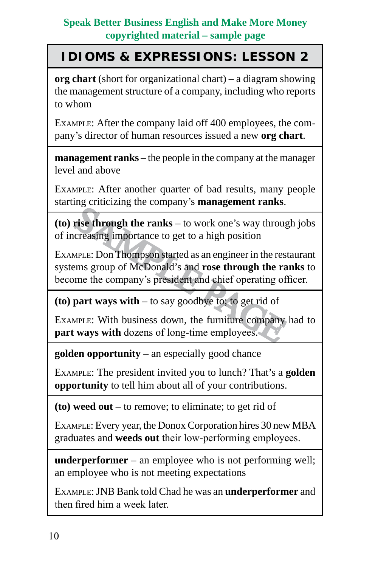# **IDIOMS & EXPRESSIONS: LESSON 2**

**org chart** (short for organizational chart) – a diagram showing the management structure of a company, including who reports to whom

EXAMPLE: After the company laid off 400 employees, the company's director of human resources issued a new **org chart** .

**management ranks**  – the people in the company at the manager level and above

EXAMPLE: After another quarter of bad results, many people starting criticizing the company's **management ranks** .

**(to) rise through the ranks** – to work one's way through jobs of increasing importance to get to a high position

rise through the ranks – to work one's way through<br>creasing importance to get to a high position<br>MPLE: Don Thompson started as an engineer in the rest<br>ems group of McDonald's and rose through the ra<br>me the company's presid EXAMPLE: Don Thompson started as an engineer in the restaurant systems group of McDonald's and **rose through the ranks** to become the company's president and chief operating officer.

**(to) part ways with** – to say goodbye to; to get rid of

EXAMPLE: With business down, the furniture company had to **part ways with** dozens of long-time employees.

**golden opportunity** – an especially good chance

ExamplE: The president invited you to lunch? That's a **golden opportunity** to tell him about all of your contributions.

**(to) weed out**  – to remove; to eliminate; to get rid of

EXAMPLE: Every year, the Donox Corporation hires 30 new MBA graduates and **weeds out** their low-performing employees.

**underperformer**  – an employee who is not performing well; an employee who is not meeting expectations

ExamplE:JNB Bank told Chad he was an **underperformer** and then fired him a week later.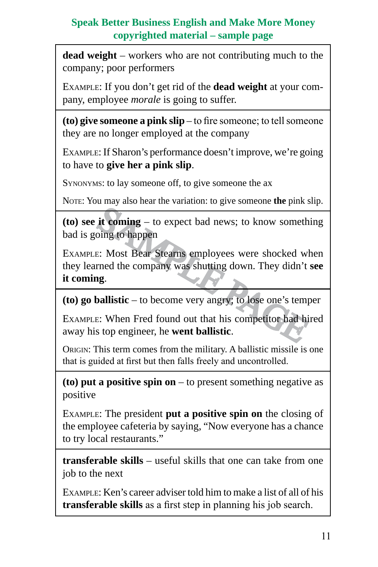**dead weight**  – workers who are not contributing much to the company; poor performers

EXAMPLE: If you don't get rid of the **dead weight** at your company, employee *morale* is going to suffer.

**(to) give someone a pink slip**  – to fire someone; to tell someone they are no longer employed at the company

EXAMPLE: If Sharon's performance doesn't improve, we're going to have to **give her a pink slip** .

SYNONYMS: to lay someone off, to give someone the ax

Note: You may also hear the variation: to give someone **the** pink slip.

**(to) see it coming**  – to expect bad news; to know something bad is going to happen

it coming – to expect bad news; to know someth<br>
bing to happen<br>
E: Most Bear Stearns employees were shocked wl<br>
rmed the company was shutting down. They didn't<br>
ng.<br>
ballistic – to become very angry; to lose one's temp<br>
E: EXAMPLE: Most Bear Stearns employees were shocked when they learned the company was shutting down. They didn't **see it coming** .

**(to) go ballistic**  – to become very angry; to lose one's temper

EXAMPLE: When Fred found out that his competitor had hired away his top engineer, he **went ballistic** .

ORIGIN: This term comes from the military. A ballistic missile is one that is guided at first but then falls freely and uncontrolled.

**(to) put a positive spin on**  – to present something negative as positive

EXAMPLE: The president put a positive spin on the closing of the employee cafeteria by saying, "Now everyone has a chance to try local restaurants."

**transferable skills** – useful skills that one can take from one job to the next

ExamplE: Ken's career adviser told him to make a list of all of his **transferable skills** as a first step in planning his job search.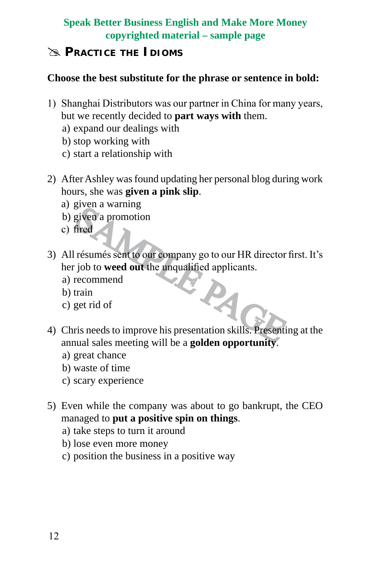## **Practice the idioms**

#### **Choose the best substitute for the phrase or sentence in bold:**

- 1) Shanghai Distributors was our partner in China for many years, but we recently decided to **part ways with** them.
	- a) expand our dealings with
	- b) stop working with
	- c) start a relationship with
- 2) After Ashley was found updating her personal blog during work hours, she was **given a pink slip**.
	- a) given a warning
	- b) given a promotion
	- c) fired
- **BAGE** 3) All résumés sent to our company go to our HR director first. It's her job to **weed out** the unqualified applicants.
	- a) recommend
	- b) train
	- c) get rid of
- ) Chris needs to improve his presentation skills. Presenting at the annual sales meeting will be a **golden opportunity**.
	- a) great chance
	- b) waste of time
	- c) scary experience
- ) Even while the company was about to go bankrupt, the CEO managed to **put a positive spin on things**.
	- a) take steps to turn it around
	- b) lose even more money
	- c) position the business in a positive way